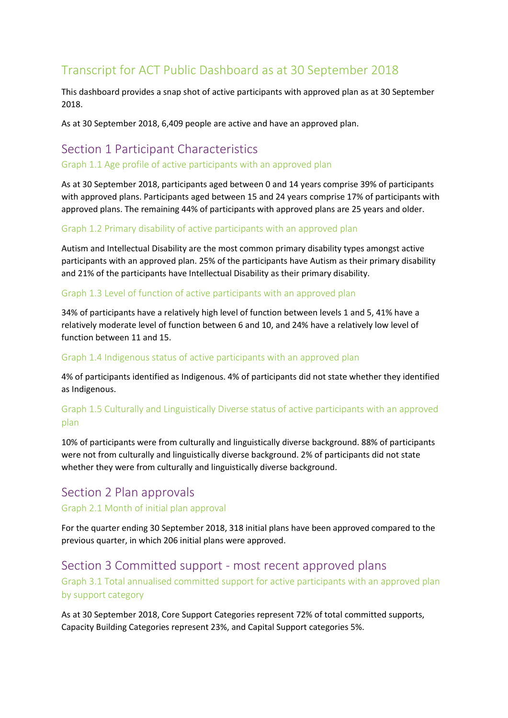# Transcript for ACT Public Dashboard as at 30 September 2018

This dashboard provides a snap shot of active participants with approved plan as at 30 September 2018.

As at 30 September 2018, 6,409 people are active and have an approved plan.

# Section 1 Participant Characteristics

#### Graph 1.1 Age profile of active participants with an approved plan

As at 30 September 2018, participants aged between 0 and 14 years comprise 39% of participants with approved plans. Participants aged between 15 and 24 years comprise 17% of participants with approved plans. The remaining 44% of participants with approved plans are 25 years and older.

### Graph 1.2 Primary disability of active participants with an approved plan

Autism and Intellectual Disability are the most common primary disability types amongst active participants with an approved plan. 25% of the participants have Autism as their primary disability and 21% of the participants have Intellectual Disability as their primary disability.

### Graph 1.3 Level of function of active participants with an approved plan

34% of participants have a relatively high level of function between levels 1 and 5, 41% have a relatively moderate level of function between 6 and 10, and 24% have a relatively low level of function between 11 and 15.

#### Graph 1.4 Indigenous status of active participants with an approved plan

4% of participants identified as Indigenous. 4% of participants did not state whether they identified as Indigenous.

### Graph 1.5 Culturally and Linguistically Diverse status of active participants with an approved plan

10% of participants were from culturally and linguistically diverse background. 88% of participants were not from culturally and linguistically diverse background. 2% of participants did not state whether they were from culturally and linguistically diverse background.

## Section 2 Plan approvals

### Graph 2.1 Month of initial plan approval

For the quarter ending 30 September 2018, 318 initial plans have been approved compared to the previous quarter, in which 206 initial plans were approved.

# Section 3 Committed support - most recent approved plans

### Graph 3.1 Total annualised committed support for active participants with an approved plan by support category

As at 30 September 2018, Core Support Categories represent 72% of total committed supports, Capacity Building Categories represent 23%, and Capital Support categories 5%.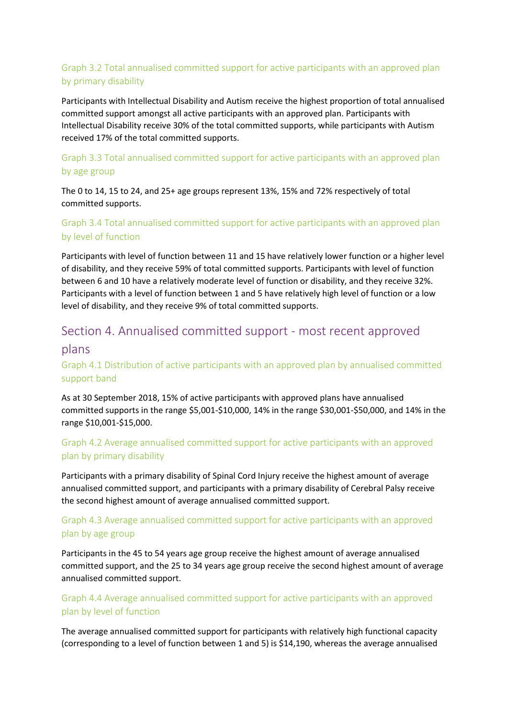### Graph 3.2 Total annualised committed support for active participants with an approved plan by primary disability

Participants with Intellectual Disability and Autism receive the highest proportion of total annualised committed support amongst all active participants with an approved plan. Participants with Intellectual Disability receive 30% of the total committed supports, while participants with Autism received 17% of the total committed supports.

### Graph 3.3 Total annualised committed support for active participants with an approved plan by age group

The 0 to 14, 15 to 24, and 25+ age groups represent 13%, 15% and 72% respectively of total committed supports.

### Graph 3.4 Total annualised committed support for active participants with an approved plan by level of function

Participants with level of function between 11 and 15 have relatively lower function or a higher level of disability, and they receive 59% of total committed supports. Participants with level of function between 6 and 10 have a relatively moderate level of function or disability, and they receive 32%. Participants with a level of function between 1 and 5 have relatively high level of function or a low level of disability, and they receive 9% of total committed supports.

# Section 4. Annualised committed support - most recent approved

### plans

### Graph 4.1 Distribution of active participants with an approved plan by annualised committed support band

As at 30 September 2018, 15% of active participants with approved plans have annualised committed supports in the range \$5,001-\$10,000, 14% in the range \$30,001-\$50,000, and 14% in the range \$10,001-\$15,000.

### Graph 4.2 Average annualised committed support for active participants with an approved plan by primary disability

Participants with a primary disability of Spinal Cord Injury receive the highest amount of average annualised committed support, and participants with a primary disability of Cerebral Palsy receive the second highest amount of average annualised committed support.

### Graph 4.3 Average annualised committed support for active participants with an approved plan by age group

Participants in the 45 to 54 years age group receive the highest amount of average annualised committed support, and the 25 to 34 years age group receive the second highest amount of average annualised committed support.

### Graph 4.4 Average annualised committed support for active participants with an approved plan by level of function

The average annualised committed support for participants with relatively high functional capacity (corresponding to a level of function between 1 and 5) is \$14,190, whereas the average annualised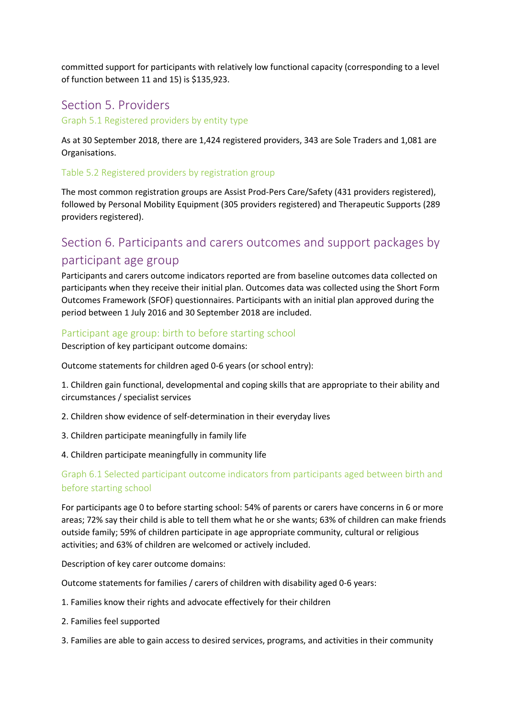committed support for participants with relatively low functional capacity (corresponding to a level of function between 11 and 15) is \$135,923.

# Section 5. Providers

Graph 5.1 Registered providers by entity type

As at 30 September 2018, there are 1,424 registered providers, 343 are Sole Traders and 1,081 are Organisations.

#### Table 5.2 Registered providers by registration group

The most common registration groups are Assist Prod-Pers Care/Safety (431 providers registered), followed by Personal Mobility Equipment (305 providers registered) and Therapeutic Supports (289 providers registered).

# Section 6. Participants and carers outcomes and support packages by participant age group

Participants and carers outcome indicators reported are from baseline outcomes data collected on participants when they receive their initial plan. Outcomes data was collected using the Short Form Outcomes Framework (SFOF) questionnaires. Participants with an initial plan approved during the period between 1 July 2016 and 30 September 2018 are included.

#### Participant age group: birth to before starting school

Description of key participant outcome domains:

Outcome statements for children aged 0-6 years (or school entry):

1. Children gain functional, developmental and coping skills that are appropriate to their ability and circumstances / specialist services

- 2. Children show evidence of self-determination in their everyday lives
- 3. Children participate meaningfully in family life
- 4. Children participate meaningfully in community life

### Graph 6.1 Selected participant outcome indicators from participants aged between birth and before starting school

For participants age 0 to before starting school: 54% of parents or carers have concerns in 6 or more areas; 72% say their child is able to tell them what he or she wants; 63% of children can make friends outside family; 59% of children participate in age appropriate community, cultural or religious activities; and 63% of children are welcomed or actively included.

Description of key carer outcome domains:

Outcome statements for families / carers of children with disability aged 0-6 years:

- 1. Families know their rights and advocate effectively for their children
- 2. Families feel supported
- 3. Families are able to gain access to desired services, programs, and activities in their community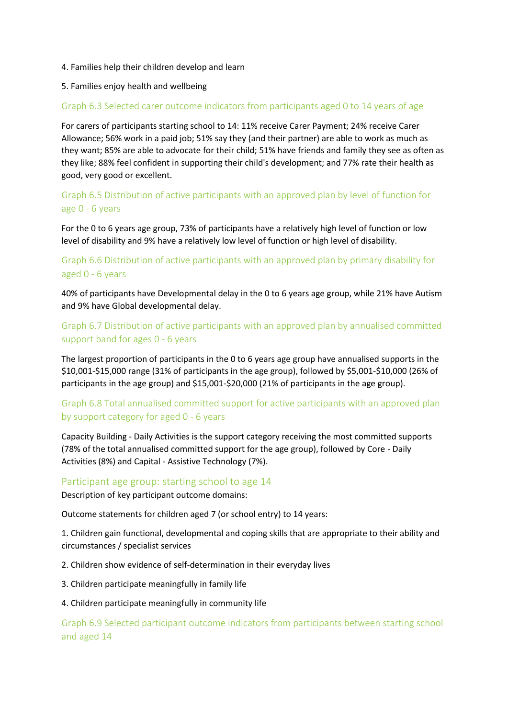#### 4. Families help their children develop and learn

#### 5. Families enjoy health and wellbeing

#### Graph 6.3 Selected carer outcome indicators from participants aged 0 to 14 years of age

For carers of participants starting school to 14: 11% receive Carer Payment; 24% receive Carer Allowance; 56% work in a paid job; 51% say they (and their partner) are able to work as much as they want; 85% are able to advocate for their child; 51% have friends and family they see as often as they like; 88% feel confident in supporting their child's development; and 77% rate their health as good, very good or excellent.

Graph 6.5 Distribution of active participants with an approved plan by level of function for age 0 - 6 years

For the 0 to 6 years age group, 73% of participants have a relatively high level of function or low level of disability and 9% have a relatively low level of function or high level of disability.

### Graph 6.6 Distribution of active participants with an approved plan by primary disability for aged 0 - 6 years

40% of participants have Developmental delay in the 0 to 6 years age group, while 21% have Autism and 9% have Global developmental delay.

### Graph 6.7 Distribution of active participants with an approved plan by annualised committed support band for ages 0 - 6 years

The largest proportion of participants in the 0 to 6 years age group have annualised supports in the \$10,001-\$15,000 range (31% of participants in the age group), followed by \$5,001-\$10,000 (26% of participants in the age group) and \$15,001-\$20,000 (21% of participants in the age group).

### Graph 6.8 Total annualised committed support for active participants with an approved plan by support category for aged 0 - 6 years

Capacity Building - Daily Activities is the support category receiving the most committed supports (78% of the total annualised committed support for the age group), followed by Core - Daily Activities (8%) and Capital - Assistive Technology (7%).

#### Participant age group: starting school to age 14

Description of key participant outcome domains:

Outcome statements for children aged 7 (or school entry) to 14 years:

1. Children gain functional, developmental and coping skills that are appropriate to their ability and circumstances / specialist services

2. Children show evidence of self-determination in their everyday lives

3. Children participate meaningfully in family life

#### 4. Children participate meaningfully in community life

Graph 6.9 Selected participant outcome indicators from participants between starting school and aged 14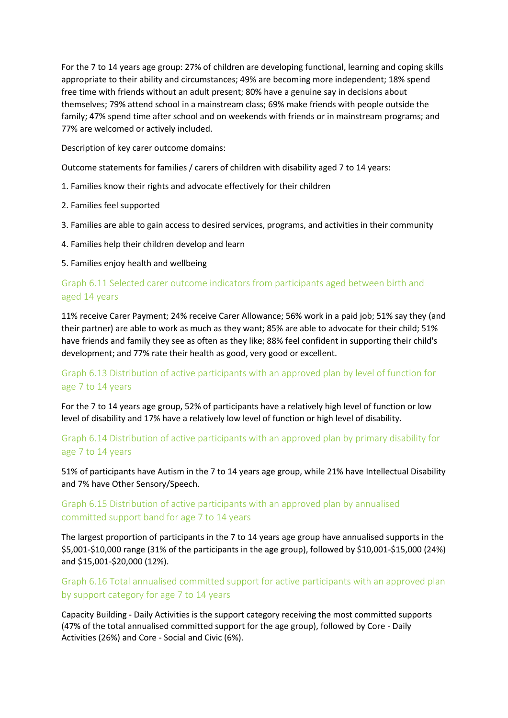For the 7 to 14 years age group: 27% of children are developing functional, learning and coping skills appropriate to their ability and circumstances; 49% are becoming more independent; 18% spend free time with friends without an adult present; 80% have a genuine say in decisions about themselves; 79% attend school in a mainstream class; 69% make friends with people outside the family; 47% spend time after school and on weekends with friends or in mainstream programs; and 77% are welcomed or actively included.

Description of key carer outcome domains:

Outcome statements for families / carers of children with disability aged 7 to 14 years:

- 1. Families know their rights and advocate effectively for their children
- 2. Families feel supported
- 3. Families are able to gain access to desired services, programs, and activities in their community
- 4. Families help their children develop and learn

5. Families enjoy health and wellbeing

### Graph 6.11 Selected carer outcome indicators from participants aged between birth and aged 14 years

11% receive Carer Payment; 24% receive Carer Allowance; 56% work in a paid job; 51% say they (and their partner) are able to work as much as they want; 85% are able to advocate for their child; 51% have friends and family they see as often as they like; 88% feel confident in supporting their child's development; and 77% rate their health as good, very good or excellent.

### Graph 6.13 Distribution of active participants with an approved plan by level of function for age 7 to 14 years

For the 7 to 14 years age group, 52% of participants have a relatively high level of function or low level of disability and 17% have a relatively low level of function or high level of disability.

### Graph 6.14 Distribution of active participants with an approved plan by primary disability for age 7 to 14 years

51% of participants have Autism in the 7 to 14 years age group, while 21% have Intellectual Disability and 7% have Other Sensory/Speech.

### Graph 6.15 Distribution of active participants with an approved plan by annualised committed support band for age 7 to 14 years

The largest proportion of participants in the 7 to 14 years age group have annualised supports in the \$5,001-\$10,000 range (31% of the participants in the age group), followed by \$10,001-\$15,000 (24%) and \$15,001-\$20,000 (12%).

### Graph 6.16 Total annualised committed support for active participants with an approved plan by support category for age 7 to 14 years

Capacity Building - Daily Activities is the support category receiving the most committed supports (47% of the total annualised committed support for the age group), followed by Core - Daily Activities (26%) and Core - Social and Civic (6%).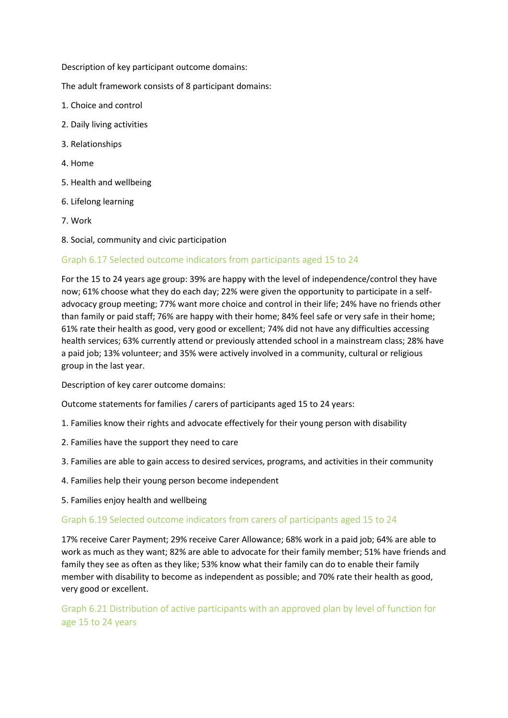Description of key participant outcome domains:

The adult framework consists of 8 participant domains:

- 1. Choice and control
- 2. Daily living activities
- 3. Relationships
- 4. Home
- 5. Health and wellbeing
- 6. Lifelong learning
- 7. Work
- 8. Social, community and civic participation

#### Graph 6.17 Selected outcome indicators from participants aged 15 to 24

For the 15 to 24 years age group: 39% are happy with the level of independence/control they have now; 61% choose what they do each day; 22% were given the opportunity to participate in a selfadvocacy group meeting; 77% want more choice and control in their life; 24% have no friends other than family or paid staff; 76% are happy with their home; 84% feel safe or very safe in their home; 61% rate their health as good, very good or excellent; 74% did not have any difficulties accessing health services; 63% currently attend or previously attended school in a mainstream class; 28% have a paid job; 13% volunteer; and 35% were actively involved in a community, cultural or religious group in the last year.

Description of key carer outcome domains:

Outcome statements for families / carers of participants aged 15 to 24 years:

- 1. Families know their rights and advocate effectively for their young person with disability
- 2. Families have the support they need to care
- 3. Families are able to gain access to desired services, programs, and activities in their community
- 4. Families help their young person become independent
- 5. Families enjoy health and wellbeing

#### Graph 6.19 Selected outcome indicators from carers of participants aged 15 to 24

17% receive Carer Payment; 29% receive Carer Allowance; 68% work in a paid job; 64% are able to work as much as they want; 82% are able to advocate for their family member; 51% have friends and family they see as often as they like; 53% know what their family can do to enable their family member with disability to become as independent as possible; and 70% rate their health as good, very good or excellent.

Graph 6.21 Distribution of active participants with an approved plan by level of function for age 15 to 24 years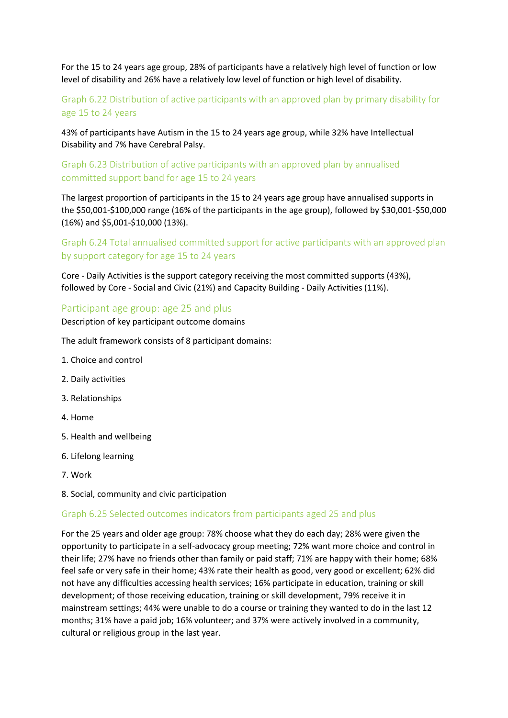For the 15 to 24 years age group, 28% of participants have a relatively high level of function or low level of disability and 26% have a relatively low level of function or high level of disability.

### Graph 6.22 Distribution of active participants with an approved plan by primary disability for age 15 to 24 years

43% of participants have Autism in the 15 to 24 years age group, while 32% have Intellectual Disability and 7% have Cerebral Palsy.

### Graph 6.23 Distribution of active participants with an approved plan by annualised committed support band for age 15 to 24 years

The largest proportion of participants in the 15 to 24 years age group have annualised supports in the \$50,001-\$100,000 range (16% of the participants in the age group), followed by \$30,001-\$50,000 (16%) and \$5,001-\$10,000 (13%).

### Graph 6.24 Total annualised committed support for active participants with an approved plan by support category for age 15 to 24 years

Core - Daily Activities is the support category receiving the most committed supports (43%), followed by Core - Social and Civic (21%) and Capacity Building - Daily Activities (11%).

#### Participant age group: age 25 and plus

Description of key participant outcome domains

The adult framework consists of 8 participant domains:

- 1. Choice and control
- 2. Daily activities
- 3. Relationships
- 4. Home
- 5. Health and wellbeing
- 6. Lifelong learning
- 7. Work
- 8. Social, community and civic participation

#### Graph 6.25 Selected outcomes indicators from participants aged 25 and plus

For the 25 years and older age group: 78% choose what they do each day; 28% were given the opportunity to participate in a self-advocacy group meeting; 72% want more choice and control in their life; 27% have no friends other than family or paid staff; 71% are happy with their home; 68% feel safe or very safe in their home; 43% rate their health as good, very good or excellent; 62% did not have any difficulties accessing health services; 16% participate in education, training or skill development; of those receiving education, training or skill development, 79% receive it in mainstream settings; 44% were unable to do a course or training they wanted to do in the last 12 months; 31% have a paid job; 16% volunteer; and 37% were actively involved in a community, cultural or religious group in the last year.